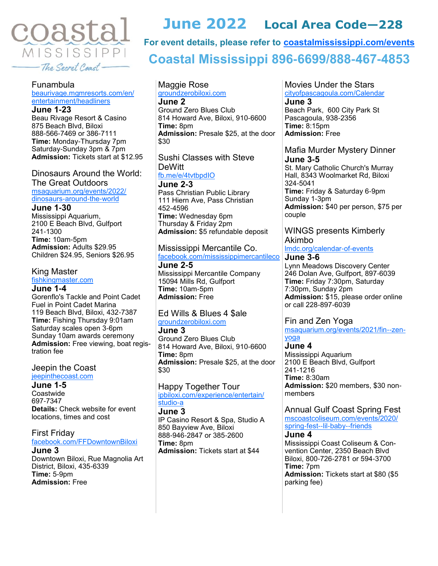

# **For event details, please refer to [coastalmississippi.com/events](http://coastalmississippi.com/events)**

# **Coastal Mississippi 896-6699/888-467-4853**

**June 2022 Local Area Code—228**

## Funambula

## [beaurivage.mgmresorts.com/en/](https://beaurivage.mgmresorts.com/en/entertainment/headliners.html) [entertainment/headliners](https://beaurivage.mgmresorts.com/en/entertainment/headliners.html)

**June 1-23** Beau Rivage Resort & Casino 875 Beach Blvd, Biloxi 888-566-7469 or 386-7111 **Time:** Monday-Thursday 7pm Saturday-Sunday 3pm & 7pm **Admission:** Tickets start at \$12.95

Dinosaurs Around the World: The Great Outdoors [msaquarium.org/events/2022/](https://www.msaquarium.org/events/2022/dinosaurs-around-the-world) [dinosaurs-around-the-world](https://www.msaquarium.org/events/2022/dinosaurs-around-the-world)

#### **June 1-30**

Mississippi Aquarium, 2100 E Beach Blvd, Gulfport 241-1300 **Time:** 10am-5pm **Admission:** Adults \$29.95 Children \$24.95, Seniors \$26.95

#### King Master

[fishkingmaster.com](https://fishkingmaster.com)

#### **June 1-4**

Gorenflo's Tackle and Point Cadet Fuel in Point Cadet Marina 119 Beach Blvd, Biloxi, 432-7387 **Time:** Fishing Thursday 9:01am Saturday scales open 3-6pm Sunday 10am awards ceremony **Admission:** Free viewing, boat registration fee

#### Jeepin the Coast [jeepinthecoast.com](https://jeepinthecoast.com)

#### **June 1-5**

**Coastwide** 697-7347 **Details:** Check website for event locations, times and cost

First Friday [facebook.com/FFDowntownBiloxi](https://www.facebook.com/FFDowntownBiloxi)

**June 3** Downtown Biloxi, Rue Magnolia Art District, Biloxi, 435-6339 **Time:** 5-9pm **Admission:** Free

#### Maggie Rose [groundzerobiloxi.com](https://www.groundzerobiloxi.com) **June 2**

Ground Zero Blues Club 814 Howard Ave, Biloxi, 910-6600 **Time:** 8pm **Admission:** Presale \$25, at the door \$30

## Sushi Classes with Steve **DeWitt**

[fb.me/e/4tvtbpdIO](https://fb.me/e/4tvtbpdIO)

**June 2-3** Pass Christian Public Library 111 Hiern Ave, Pass Christian 452-4596 **Time:** Wednesday 6pm Thursday & Friday 2pm **Admission:** \$5 refundable deposit

## Mississippi Mercantile Co.

[facebook.com/mississippimercantileco](https://www.facebook.com/mississippimercantileco) **June 2-5**

Mississippi Mercantile Company 15094 Mills Rd, Gulfport **Time:** 10am-5pm **Admission:** Free

## Ed Wills & Blues 4 \$ale [groundzerobiloxi.com](https://www.groundzerobiloxi.com)

**June 3** Ground Zero Blues Club 814 Howard Ave, Biloxi, 910-6600 **Time:** 8pm **Admission:** Presale \$25, at the door \$30

## Happy Together Tour

[ipbiloxi.com/experience/entertain/](https://www.ipbiloxi.com/experience/entertain/studio-a) [studio-a](https://www.ipbiloxi.com/experience/entertain/studio-a)

#### **June 3**

IP Casino Resort & Spa, Studio A 850 Bayview Ave, Biloxi 888-946-2847 or 385-2600 **Time:** 8pm **Admission:** Tickets start at \$44

#### Movies Under the Stars [cityofpascagoula.com/Calendar](http://www.cityofpascagoula.com/Calendar.aspx) **June 3**

Beach Park, 600 City Park St Pascagoula, 938-2356 **Time:** 8:15pm **Admission:** Free

## Mafia Murder Mystery Dinner **June 3-5**

St. Mary Catholic Church's Murray Hall, 8343 Woolmarket Rd, Biloxi 324-5041 **Time:** Friday & Saturday 6-9pm Sunday 1-3pm **Admission:** \$40 per person, \$75 per couple

#### WINGS presents Kimberly Akimbo

[lmdc.org/calendar-of-events](https://lmdc.org/calendar-of-events)

#### **June 3-6**

Lynn Meadows Discovery Center 246 Dolan Ave, Gulfport, 897-6039 **Time:** Friday 7:30pm, Saturday 7:30pm, Sunday 2pm **Admission:** \$15, please order online or call 228-897-6039

## Fin and Zen Yoga

[msaquarium.org/events/2021/fin--zen](https://www.msaquarium.org/events/2021/fin--zen-yoga)[yoga](https://www.msaquarium.org/events/2021/fin--zen-yoga)

#### **June 4**

Mississippi Aquarium 2100 E Beach Blvd, Gulfport 241-1216 **Time:** 8:30am **Admission:** \$20 members, \$30 nonmembers

## Annual Gulf Coast Spring Fest

[mscoastcoliseum.com/events/2020/](https://www.mscoastcoliseum.com/events/2020/spring-fest--lil-baby--friends) [spring-fest--lil-baby--friends](https://www.mscoastcoliseum.com/events/2020/spring-fest--lil-baby--friends)

### **June 4**

Mississippi Coast Coliseum & Convention Center, 2350 Beach Blvd Biloxi, 800-726-2781 or 594-3700 **Time:** 7pm **Admission:** Tickets start at \$80 (\$5 parking fee)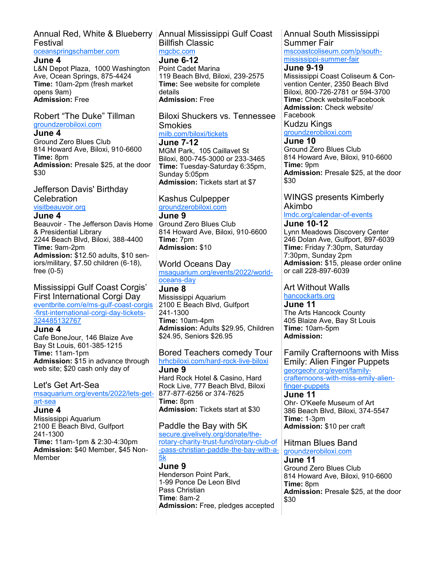## Annual Red, White & Blueberry Annual Mississippi Gulf Coast Festival

#### [oceanspringschamber.com](http://www.oceanspringschamber.com)

#### **June 4**

L&N Depot Plaza, 1000 Washington Ave, Ocean Springs, 875-4424 **Time:** 10am-2pm (fresh market opens 9am) **Admission:** Free

#### Robert "The Duke" Tillman [groundzerobiloxi.com](https://www.groundzerobiloxi.com)

#### **June 4**

Ground Zero Blues Club 814 Howard Ave, Biloxi, 910-6600 **Time:** 8pm **Admission:** Presale \$25, at the door \$30

## Jefferson Davis' Birthday **Celebration**

## [visitbeauvoir.org](https://www.visitbeauvoir.org)

#### **June 4**

Beauvoir - The Jefferson Davis Home & Presidential Library 2244 Beach Blvd, Biloxi, 388-4400 **Time:** 9am-2pm **Admission:** \$12.50 adults, \$10 seniors/military, \$7.50 children (6-18),

# free (0-5)

#### Mississippi Gulf Coast Corgis' First International Corgi Day

[eventbrite.com/e/ms-gulf-coast-corgis](https://www.eventbrite.com/e/ms-gulf-coast-corgis-first-international-corgi-day-tickets-324485132767) [-first-international-corgi-day-tickets-](https://www.eventbrite.com/e/ms-gulf-coast-corgis-first-international-corgi-day-tickets-324485132767)[324485132767](https://www.eventbrite.com/e/ms-gulf-coast-corgis-first-international-corgi-day-tickets-324485132767)

## **June 4**

Cafe BoneJour, 146 Blaize Ave Bay St Louis, 601-385-1215 **Time:** 11am-1pm **Admission:** \$15 in advance through web site; \$20 cash only day of

## Let's Get Art-Sea

[msaquarium.org/events/2022/lets-get](https://www.msaquarium.org/events/2022/lets-get-art-sea)[art-sea](https://www.msaquarium.org/events/2022/lets-get-art-sea)

#### **June 4**

Mississippi Aquarium 2100 E Beach Blvd, Gulfport 241-1300 **Time:** 11am-1pm & 2:30-4:30pm **Admission:** \$40 Member, \$45 Non-Member

# Billfish Classic [mgcbc.com](https://mgcbc.com)

## **June 6-12**

Point Cadet Marina 119 Beach Blvd, Biloxi, 239-2575 **Time:** See website for complete details **Admission:** Free

Biloxi Shuckers vs. Tennessee Smokies [milb.com/biloxi/tickets](https://www.milb.com/biloxi/tickets)

**June 7-12** MGM Park, 105 Caillavet St Biloxi, 800-745-3000 or 233-3465 **Time:** Tuesday-Saturday 6:35pm, Sunday 5:05pm **Admission:** Tickets start at \$7

## Kashus Culpepper

## [groundzerobiloxi.com](https://www.groundzerobiloxi.com)

**June 9** Ground Zero Blues Club 814 Howard Ave, Biloxi, 910-6600 **Time:** 7pm **Admission:** \$10

World Oceans Day [msaquarium.org/events/2022/world](https://www.msaquarium.org/events/2022/world-oceans-day)[oceans-day](https://www.msaquarium.org/events/2022/world-oceans-day)

**June 8** Mississippi Aquarium 2100 E Beach Blvd, Gulfport 241-1300 **Time:** 10am-4pm **Admission:** Adults \$29.95, Children \$24.95, Seniors \$26.95

## Bored Teachers comedy Tour

[hrhcbiloxi.com/hard-rock-live-biloxi](https://www.hrhcbiloxi.com/hard-rock-live-biloxi.htm) **June 9** Hard Rock Hotel & Casino, Hard Rock Live, 777 Beach Blvd, Biloxi 877-877-6256 or 374-7625

**Time:** 8pm **Admission:** Tickets start at \$30

## Paddle the Bay with 5K

[secure.givelively.org/donate/the](https://secure.givelively.org/donate/the-rotary-charity-trust-fund/rotary-club-of-pass-christian-paddle-the-bay-with-a-5k)[rotary-charity-trust-fund/rotary-club-of](https://secure.givelively.org/donate/the-rotary-charity-trust-fund/rotary-club-of-pass-christian-paddle-the-bay-with-a-5k) [-pass-christian-paddle-the-bay-with-a-](https://secure.givelively.org/donate/the-rotary-charity-trust-fund/rotary-club-of-pass-christian-paddle-the-bay-with-a-5k)[5k](https://secure.givelively.org/donate/the-rotary-charity-trust-fund/rotary-club-of-pass-christian-paddle-the-bay-with-a-5k)

#### **June 9** Henderson Point Park, 1-99 Ponce De Leon Blvd Pass Christian **Time**: 8am-2 **Admission:** Free, pledges accepted

## Annual South Mississippi Summer Fair

[mscoastcoliseum.com/p/south](https://www.mscoastcoliseum.com/p/south-mississippi-summer-fair)[mississippi-summer-fair](https://www.mscoastcoliseum.com/p/south-mississippi-summer-fair)

### **June 9-19**

Mississippi Coast Coliseum & Convention Center, 2350 Beach Blvd Biloxi, 800-726-2781 or 594-3700 **Time:** Check website/Facebook **Admission:** Check website/ Facebook

Kudzu Kings [groundzerobiloxi.com](https://www.groundzerobiloxi.com)

## **June 10**

Ground Zero Blues Club 814 Howard Ave, Biloxi, 910-6600 **Time:** 9pm **Admission:** Presale \$25, at the door \$30

#### WINGS presents Kimberly Akimbo

[lmdc.org/calendar-of-events](https://lmdc.org/calendar-of-events)

## **June 10-12**

Lynn Meadows Discovery Center 246 Dolan Ave, Gulfport, 897-6039 **Time:** Friday 7:30pm, Saturday 7:30pm, Sunday 2pm **Admission:** \$15, please order online or call 228-897-6039

#### Art Without Walls [hancockarts.org](https://hancockarts.org)

**June 11** The Arts Hancock County 405 Blaize Ave, Bay St Louis **Time:** 10am-5pm **Admission:**

Family Crafternoons with Miss Emily: Alien Finger Puppets [georgeohr.org/event/family](https://georgeohr.org/event/family-crafternoons-with-miss-emily-alien-finger-puppets)[crafternoons-with-miss-emily-alien](https://georgeohr.org/event/family-crafternoons-with-miss-emily-alien-finger-puppets)[finger-puppets](https://georgeohr.org/event/family-crafternoons-with-miss-emily-alien-finger-puppets)

#### **June 11** Ohr- O'Keefe Museum of Art 386 Beach Blvd, Biloxi, 374-5547 **Time:** 1-3pm **Admission:** \$10 per craft

Hitman Blues Band [groundzerobiloxi.com](https://www.groundzerobiloxi.com)

**June 11** Ground Zero Blues Club 814 Howard Ave, Biloxi, 910-6600 **Time:** 8pm **Admission:** Presale \$25, at the door \$30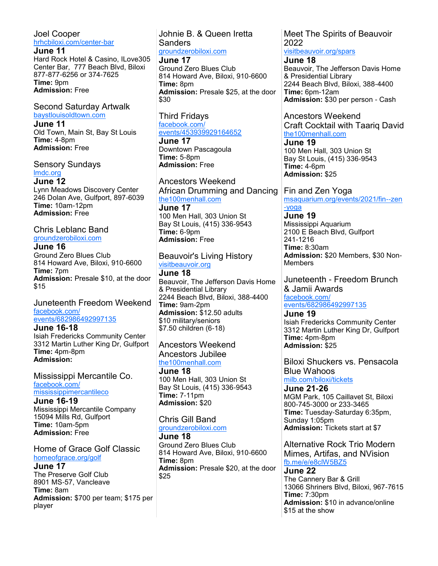#### Joel Cooper [hrhcbiloxi.com/center-bar](https://www.hrhcbiloxi.com/center-bar.htm)

**June 11** Hard Rock Hotel & Casino, ILove305 Center Bar, 777 Beach Blvd, Biloxi 877-877-6256 or 374-7625 **Time:** 9pm **Admission:** Free

## Second Saturday Artwalk

[baystlouisoldtown.com](http://www.baystlouisoldtown.com) **June 11** Old Town, Main St, Bay St Louis **Time:** 4-8pm **Admission:** Free

## Sensory Sundays [lmdc.org](http://www.lmdc.org)

**June 12** Lynn Meadows Discovery Center 246 Dolan Ave, Gulfport, 897-6039 **Time:** 10am-12pm **Admission:** Free

Chris Leblanc Band [groundzerobiloxi.com](https://www.groundzerobiloxi.com)

#### **June 16**

Ground Zero Blues Club 814 Howard Ave, Biloxi, 910-6600 **Time:** 7pm **Admission:** Presale \$10, at the door \$15

#### Juneteenth Freedom Weekend [facebook.com/](https://www.facebook.com/events/682986492997135) [events/682986492997135](https://www.facebook.com/events/682986492997135)

**June 16-18** Isiah Fredericks Community Center 3312 Martin Luther King Dr, Gulfport **Time:** 4pm-8pm **Admission:**

Mississippi Mercantile Co. [facebook.com/](https://www.facebook.com/mississippimercantileco) [mississippimercantileco](https://www.facebook.com/mississippimercantileco)

**June 16-19** Mississippi Mercantile Company 15094 Mills Rd, Gulfport **Time:** 10am-5pm **Admission:** Free

## Home of Grace Golf Classic [homeofgrace.org/golf](https://www.homeofgrace.org/golf)

#### **June 17**

The Preserve Golf Club 8901 MS-57, Vancleave **Time:** 8am **Admission:** \$700 per team; \$175 per player

## Johnie B. & Queen Iretta Sanders

[groundzerobiloxi.com](https://www.groundzerobiloxi.com) **June 17**

Ground Zero Blues Club 814 Howard Ave, Biloxi, 910-6600 **Time:** 8pm **Admission:** Presale \$25, at the door \$30

Third Fridays [facebook.com/](https://www.facebook.com/events/453939929164652) [events/453939929164652](https://www.facebook.com/events/453939929164652)

**June 17** Downtown Pascagoula **Time:** 5-8pm **Admission:** Free

Ancestors Weekend African Drumming and Dancing [the100menhall.com](https://the100menhall.com/)

**June 17** 100 Men Hall, 303 Union St Bay St Louis, (415) 336-9543 **Time:** 6-9pm **Admission:** Free

## Beauvoir's Living History [visitbeauvoir.org](http://www.visitbeauvoir.org)

**June 18** Beauvoir, The Jefferson Davis Home & Presidential Library 2244 Beach Blvd, Biloxi, 388-4400 **Time:** 9am-2pm **Admission:** \$12.50 adults \$10 military/seniors \$7.50 children (6-18)

#### Ancestors Weekend Ancestors Jubilee [the100menhall.com](https://the100menhall.com/)

**June 18** 100 Men Hall, 303 Union St Bay St Louis, (415) 336-9543 **Time:** 7-11pm **Admission:** \$20

## Chris Gill Band

#### [groundzerobiloxi.com](https://www.groundzerobiloxi.com)

**June 18** Ground Zero Blues Club 814 Howard Ave, Biloxi, 910-6600 **Time:** 8pm **Admission:** Presale \$20, at the door \$25

#### Meet The Spirits of Beauvoir 2022 [visitbeauvoir.org/spars](https://www.visitbeauvoir.org/spars)

**June 18**

Beauvoir, The Jefferson Davis Home & Presidential Library 2244 Beach Blvd, Biloxi, 388-4400 **Time:** 6pm-12am **Admission:** \$30 per person - Cash

Ancestors Weekend Craft Cocktail with Taariq David [the100menhall.com](https://the100menhall.com/)

**June 19** 100 Men Hall, 303 Union St Bay St Louis, (415) 336-9543 **Time:** 4-6pm **Admission:** \$25

Fin and Zen Yoga [msaquarium.org/events/2021/fin--zen](https://www.msaquarium.org/events/2021/fin--zen-yoga) [-yoga](https://www.msaquarium.org/events/2021/fin--zen-yoga)

**June 19** Mississippi Aquarium 2100 E Beach Blvd, Gulfport 241-1216 **Time:** 8:30am **Admission:** \$20 Members, \$30 Non-**Members** 

Juneteenth - Freedom Brunch & Jamii Awards [facebook.com/](https://www.facebook.com/events/682986492997135) [events/682986492997135](https://www.facebook.com/events/682986492997135) **June 19**

Isiah Fredericks Community Center 3312 Martin Luther King Dr, Gulfport **Time:** 4pm-8pm **Admission:** \$25

Biloxi Shuckers vs. Pensacola Blue Wahoos [milb.com/biloxi/tickets](https://www.milb.com/biloxi/tickets)

**June 21-26** MGM Park, 105 Caillavet St, Biloxi 800-745-3000 or 233-3465 **Time:** Tuesday-Saturday 6:35pm, Sunday 1:05pm

**Admission:** Tickets start at \$7

Alternative Rock Trio Modern Mimes, Artifas, and NVision [fb.me/e/e8clW5BZ5](https://fb.me/e/e8clW5BZ5)

#### **June 22**

The Cannery Bar & Grill 13066 Shriners Blvd, Biloxi, 967-7615 **Time:** 7:30pm **Admission:** \$10 in advance/online \$15 at the show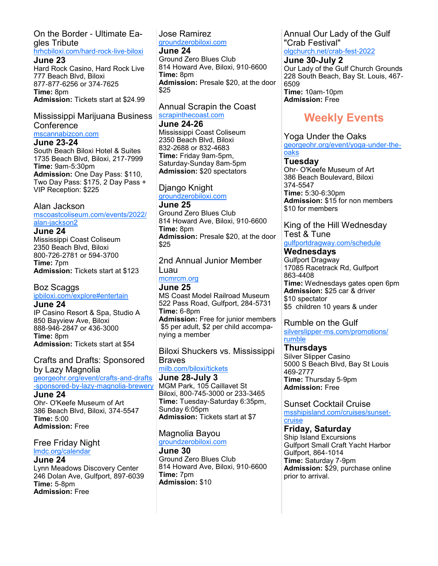## On the Border - Ultimate Eagles Tribute

## [hrhcbiloxi.com/hard-rock-live-biloxi](https://www.hrhcbiloxi.com/hard-rock-live-biloxi.htm)

**June 23** Hard Rock Casino, Hard Rock Live 777 Beach Blvd, Biloxi 877-877-6256 or 374-7625 **Time:** 8pm **Admission:** Tickets start at \$24.99

## Mississippi Marijuana Business **Conference**

[mscannabizcon.com](https://www.mscannabizcon.com/)

#### **June 23-24**

South Beach Biloxi Hotel & Suites 1735 Beach Blvd, Biloxi, 217-7999 **Time:** 9am-5:30pm **Admission:** One Day Pass: \$110, Two Day Pass: \$175, 2 Day Pass + VIP Reception: \$225

## Alan Jackson

[mscoastcoliseum.com/events/2022/](https://www.mscoastcoliseum.com/events/2022/alan-jackson2) [alan-jackson2](https://www.mscoastcoliseum.com/events/2022/alan-jackson2)

### **June 24**

Mississippi Coast Coliseum 2350 Beach Blvd, Biloxi 800-726-2781 or 594-3700 **Time:** 7pm **Admission:** Tickets start at \$123

## Boz Scaggs

## [ipbiloxi.com/explore#entertain](https://www.ipbiloxi.com/explore#entertain)

**June 24** IP Casino Resort & Spa, Studio A 850 Bayview Ave, Biloxi 888-946-2847 or 436-3000 **Time:** 8pm **Admission:** Tickets start at \$54

Crafts and Drafts: Sponsored by Lazy Magnolia [georgeohr.org/event/crafts-and-drafts](https://georgeohr.org/event/crafts-and-drafts-sponsored-by-lazy-magnolia-brewery) [-sponsored-by-lazy-magnolia-brewery](https://georgeohr.org/event/crafts-and-drafts-sponsored-by-lazy-magnolia-brewery)

#### **June 24**

Ohr- O'Keefe Museum of Art 386 Beach Blvd, Biloxi, 374-5547 **Time:** 5:00 **Admission:** Free

#### Free Friday Night [lmdc.org/calendar](http://www.lmdc.org/calendar)

**June 24** Lynn Meadows Discovery Center 246 Dolan Ave, Gulfport, 897-6039 **Time:** 5-8pm **Admission:** Free

## Jose Ramirez [groundzerobiloxi.com](https://www.groundzerobiloxi.com)

**June 24**

Ground Zero Blues Club 814 Howard Ave, Biloxi, 910-6600 **Time:** 8pm **Admission:** Presale \$20, at the door \$25

Annual Scrapin the Coast [scrapinthecoast.com](https://www.scrapinthecoast.com)

#### **June 24-26**

Mississippi Coast Coliseum 2350 Beach Blvd, Biloxi 832-2688 or 832-4683 **Time:** Friday 9am-5pm, Saturday-Sunday 8am-5pm **Admission:** \$20 spectators

## Django Knight

[groundzerobiloxi.com](https://www.groundzerobiloxi.com)

**June 25** Ground Zero Blues Club 814 Howard Ave, Biloxi, 910-6600 **Time:** 8pm **Admission:** Presale \$20, at the door \$25

2nd Annual Junior Member Luau

[mcmrcm.org](http://mcmrcm.org)

**June 25** MS Coast Model Railroad Museum 522 Pass Road, Gulfport, 284-5731 **Time:** 6-8pm **Admission:** Free for junior members \$5 per adult, \$2 per child accompanying a member

Biloxi Shuckers vs. Mississippi Braves

[milb.com/biloxi/tickets](https://www.milb.com/biloxi/tickets)

**June 28-July 3** MGM Park, 105 Caillavet St Biloxi, 800-745-3000 or 233-3465 **Time:** Tuesday-Saturday 6:35pm, Sunday 6:05pm **Admission:** Tickets start at \$7

## Magnolia Bayou

[groundzerobiloxi.com](https://www.groundzerobiloxi.com)

**June 30** Ground Zero Blues Club 814 Howard Ave, Biloxi, 910-6600 **Time:** 7pm **Admission:** \$10

Annual Our Lady of the Gulf "Crab Festival" [olgchurch.net/crab-fest-2022](https://www.olgchurch.net/crab-fest-2022)

### **June 30-July 2**

Our Lady of the Gulf Church Grounds 228 South Beach, Bay St. Louis, 467- 6509 **Time:** 10am-10pm

**Admission:** Free

# **Weekly Events**

## Yoga Under the Oaks

[georgeohr.org/event/yoga-under-the](https://georgeohr.org/event/yoga-under-the-oaks)**[oaks](https://georgeohr.org/event/yoga-under-the-oaks)** 

## **Tuesday**

Ohr- O'Keefe Museum of Art 386 Beach Boulevard, Biloxi 374-5547 **Time:** 5:30-6:30pm **Admission:** \$15 for non members \$10 for members

## King of the Hill Wednesday Test & Tune

[gulfportdragway.com/schedule](https://www.gulfportdragway.com/schedule) **Wednesdays**

Gulfport Dragway 17085 Racetrack Rd, Gulfport 863-4408 **Time:** Wednesdays gates open 6pm **Admission:** \$25 car & driver \$10 spectator \$5 children 10 years & under

## Rumble on the Gulf

[silverslipper-ms.com/promotions/](https://silverslipper-ms.com/promotions/rumble) [rumble](https://silverslipper-ms.com/promotions/rumble)

**Thursdays** Silver Slipper Casino 5000 S Beach Blvd, Bay St Louis 469-2777 **Time:** Thursday 5-9pm **Admission:** Free

Sunset Cocktail Cruise [msshipisland.com/cruises/sunset](https://msshipisland.com/cruises/sunset-cruise)[cruise](https://msshipisland.com/cruises/sunset-cruise)

## **Friday, Saturday**

Ship Island Excursions Gulfport Small Craft Yacht Harbor Gulfport, 864-1014 **Time:** Saturday 7-9pm **Admission:** \$29, purchase online prior to arrival.